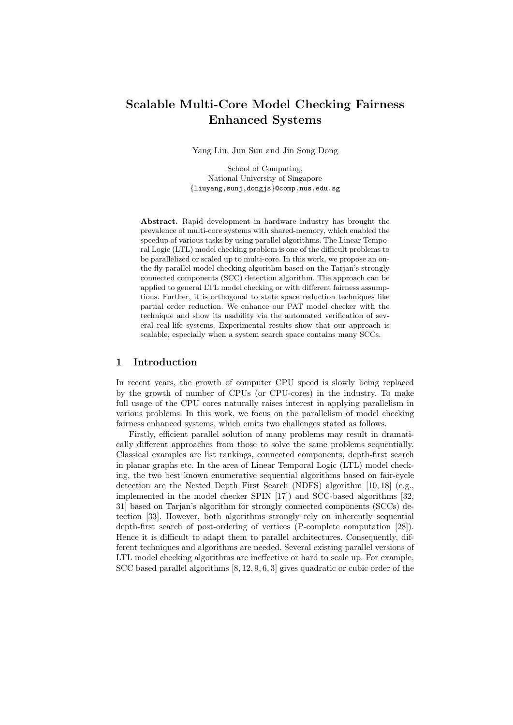# **Scalable Multi-Core Model Checking Fairness Enhanced Systems**

Yang Liu, Jun Sun and Jin Song Dong

School of Computing, National University of Singapore *{*liuyang,sunj,dongjs*}*@comp.nus.edu.sg

**Abstract.** Rapid development in hardware industry has brought the prevalence of multi-core systems with shared-memory, which enabled the speedup of various tasks by using parallel algorithms. The Linear Temporal Logic (LTL) model checking problem is one of the difficult problems to be parallelized or scaled up to multi-core. In this work, we propose an onthe-fly parallel model checking algorithm based on the Tarjan's strongly connected components (SCC) detection algorithm. The approach can be applied to general LTL model checking or with different fairness assumptions. Further, it is orthogonal to state space reduction techniques like partial order reduction. We enhance our PAT model checker with the technique and show its usability via the automated verification of several real-life systems. Experimental results show that our approach is scalable, especially when a system search space contains many SCCs.

### **1 Introduction**

In recent years, the growth of computer CPU speed is slowly being replaced by the growth of number of CPUs (or CPU-cores) in the industry. To make full usage of the CPU cores naturally raises interest in applying parallelism in various problems. In this work, we focus on the parallelism of model checking fairness enhanced systems, which emits two challenges stated as follows.

Firstly, efficient parallel solution of many problems may result in dramatically different approaches from those to solve the same problems sequentially. Classical examples are list rankings, connected components, depth-first search in planar graphs etc. In the area of Linear Temporal Logic (LTL) model checking, the two best known enumerative sequential algorithms based on fair-cycle detection are the Nested Depth First Search (NDFS) algorithm [10, 18] (e.g., implemented in the model checker SPIN [17]) and SCC-based algorithms [32, 31] based on Tarjan's algorithm for strongly connected components (SCCs) detection [33]. However, both algorithms strongly rely on inherently sequential depth-first search of post-ordering of vertices (P-complete computation [28]). Hence it is difficult to adapt them to parallel architectures. Consequently, different techniques and algorithms are needed. Several existing parallel versions of LTL model checking algorithms are ineffective or hard to scale up. For example, SCC based parallel algorithms [8, 12, 9, 6, 3] gives quadratic or cubic order of the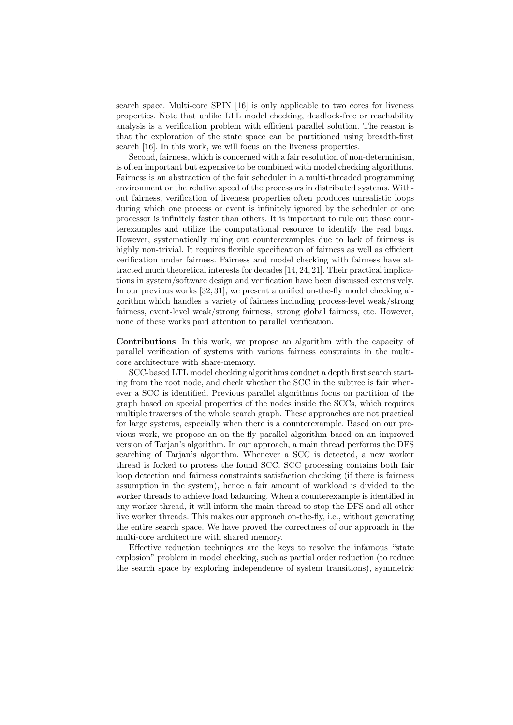search space. Multi-core SPIN [16] is only applicable to two cores for liveness properties. Note that unlike LTL model checking, deadlock-free or reachability analysis is a verification problem with efficient parallel solution. The reason is that the exploration of the state space can be partitioned using breadth-first search [16]. In this work, we will focus on the liveness properties.

Second, fairness, which is concerned with a fair resolution of non-determinism, is often important but expensive to be combined with model checking algorithms. Fairness is an abstraction of the fair scheduler in a multi-threaded programming environment or the relative speed of the processors in distributed systems. Without fairness, verification of liveness properties often produces unrealistic loops during which one process or event is infinitely ignored by the scheduler or one processor is infinitely faster than others. It is important to rule out those counterexamples and utilize the computational resource to identify the real bugs. However, systematically ruling out counterexamples due to lack of fairness is highly non-trivial. It requires flexible specification of fairness as well as efficient verification under fairness. Fairness and model checking with fairness have attracted much theoretical interests for decades [14, 24, 21]. Their practical implications in system/software design and verification have been discussed extensively. In our previous works [32, 31], we present a unified on-the-fly model checking algorithm which handles a variety of fairness including process-level weak/strong fairness, event-level weak/strong fairness, strong global fairness, etc. However, none of these works paid attention to parallel verification.

**Contributions** In this work, we propose an algorithm with the capacity of parallel verification of systems with various fairness constraints in the multicore architecture with share-memory.

SCC-based LTL model checking algorithms conduct a depth first search starting from the root node, and check whether the SCC in the subtree is fair whenever a SCC is identified. Previous parallel algorithms focus on partition of the graph based on special properties of the nodes inside the SCCs, which requires multiple traverses of the whole search graph. These approaches are not practical for large systems, especially when there is a counterexample. Based on our previous work, we propose an on-the-fly parallel algorithm based on an improved version of Tarjan's algorithm. In our approach, a main thread performs the DFS searching of Tarjan's algorithm. Whenever a SCC is detected, a new worker thread is forked to process the found SCC. SCC processing contains both fair loop detection and fairness constraints satisfaction checking (if there is fairness assumption in the system), hence a fair amount of workload is divided to the worker threads to achieve load balancing. When a counterexample is identified in any worker thread, it will inform the main thread to stop the DFS and all other live worker threads. This makes our approach on-the-fly, i.e., without generating the entire search space. We have proved the correctness of our approach in the multi-core architecture with shared memory.

Effective reduction techniques are the keys to resolve the infamous "state explosion" problem in model checking, such as partial order reduction (to reduce the search space by exploring independence of system transitions), symmetric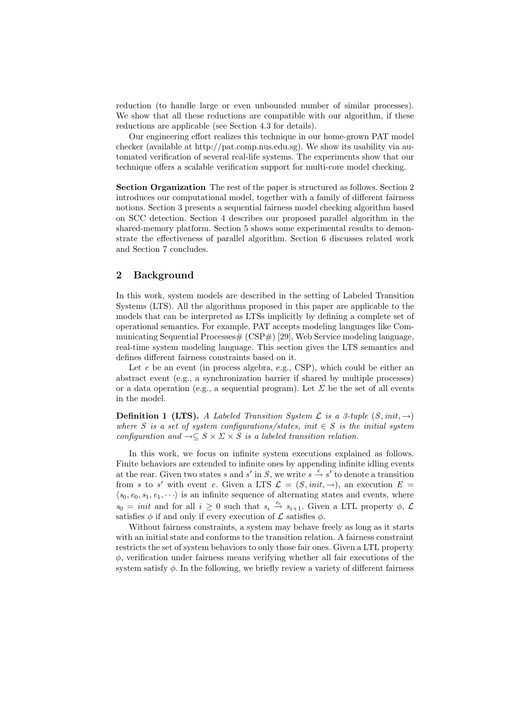reduction (to handle large or even unbounded number of similar processes). We show that all these reductions are compatible with our algorithm, if these reductions are applicable (see Section 4.3 for details).

Our engineering effort realizes this technique in our home-grown PAT model checker (available at http://pat.comp.nus.edu.sg). We show its usability via automated verification of several real-life systems. The experiments show that our technique offers a scalable verification support for multi-core model checking.

**Section Organization** The rest of the paper is structured as follows. Section 2 introduces our computational model, together with a family of different fairness notions. Section 3 presents a sequential fairness model checking algorithm based on SCC detection. Section 4 describes our proposed parallel algorithm in the shared-memory platform. Section 5 shows some experimental results to demonstrate the effectiveness of parallel algorithm. Section 6 discusses related work and Section 7 concludes.

# **2 Background**

In this work, system models are described in the setting of Labeled Transition Systems (LTS). All the algorithms proposed in this paper are applicable to the models that can be interpreted as LTSs implicitly by defining a complete set of operational semantics. For example, PAT accepts modeling languages like Communicating Sequential Processes $# (CSP#)$  [29], Web Service modeling language, real-time system modeling language. This section gives the LTS semantics and defines different fairness constraints based on it.

Let *e* be an event (in process algebra, e.g., CSP), which could be either an abstract event (e.g., a synchronization barrier if shared by multiple processes) or a data operation (e.g., a sequential program). Let  $\Sigma$  be the set of all events in the model.

**Definition 1 (LTS).** *A Labeled Transition System*  $\mathcal{L}$  *is a 3-tuple*  $(S, init, \rightarrow)$ *where* S is a set of system configurations/states, init  $\in S$  is the initial system *configuration and*  $\rightarrow \subseteq S \times \Sigma \times S$  *is a labeled transition relation.* 

In this work, we focus on infinite system executions explained as follows. Finite behaviors are extended to infinite ones by appending infinite idling events at the rear. Given two states *s* and *s'* in *S*, we write  $s \stackrel{e}{\rightarrow} s'$  to denote a transition from *s* to *s*' with event *e*. Given a LTS  $\mathcal{L} = (S, init, \rightarrow)$ , an execution  $E =$  $\langle s_0, e_0, s_1, e_1, \cdots \rangle$  is an infinite sequence of alternating states and events, where  $s_0 = init$  and for all  $i \geq 0$  such that  $s_i \stackrel{e_i}{\rightarrow} s_{i+1}$ . Given a LTL property  $\phi$ ,  $\mathcal{L}$ satisfies  $\phi$  if and only if every execution of  $\mathcal L$  satisfies  $\phi$ .

Without fairness constraints, a system may behave freely as long as it starts with an initial state and conforms to the transition relation. A fairness constraint restricts the set of system behaviors to only those fair ones. Given a LTL property *φ*, verification under fairness means verifying whether all fair executions of the system satisfy  $\phi$ . In the following, we briefly review a variety of different fairness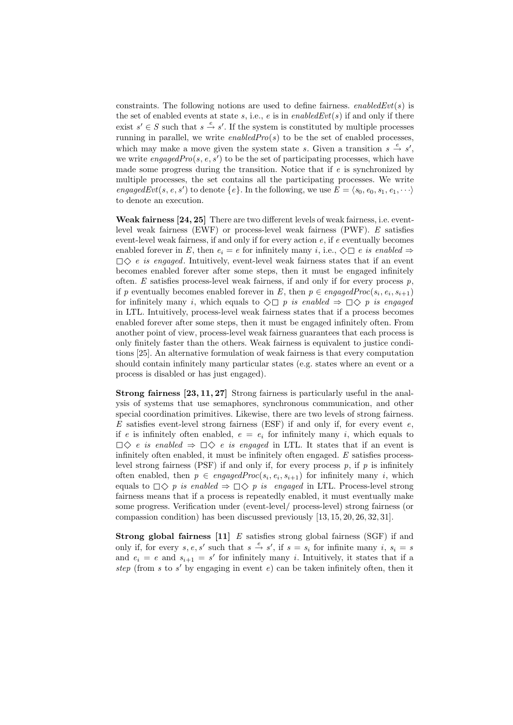constraints. The following notions are used to define fairness. *enabledEvt*(*s*) is the set of enabled events at state  $s$ , i.e.,  $e$  is in  $enabledEvt(s)$  if and only if there exist  $s' \in S$  such that  $s \stackrel{e}{\to} s'$ . If the system is constituted by multiple processes running in parallel, we write  $enabledPro(s)$  to be the set of enabled processes, which may make a move given the system state *s*. Given a transition  $s \stackrel{e}{\rightarrow} s'$ , we write *engagedPro* $(s, e, s')$  to be the set of participating processes, which have made some progress during the transition. Notice that if *e* is synchronized by multiple processes, the set contains all the participating processes. We write *engagedEvt*(s, e, s') to denote {e}. In the following, we use  $E = \langle s_0, e_0, s_1, e_1, \cdots \rangle$ to denote an execution.

**Weak fairness [24, 25]** There are two different levels of weak fairness, i.e. eventlevel weak fairness (EWF) or process-level weak fairness (PWF). *E* satisfies event-level weak fairness, if and only if for every action *e*, if *e* eventually becomes enabled forever in *E*, then  $e_i = e$  for infinitely many *i*, i.e.,  $\Diamond \Box e$  *is enabled*  $\Rightarrow$ *✷✸ e is engaged*. Intuitively, event-level weak fairness states that if an event becomes enabled forever after some steps, then it must be engaged infinitely often. *E* satisfies process-level weak fairness, if and only if for every process *p*, if *p* eventually becomes enabled forever in *E*, then  $p \in engagedProc(s_i, e_i, s_{i+1})$ for infinitely many *i*, which equals to  $\Diamond \Box p$  *is enabled*  $\Rightarrow \Box \Diamond p$  *is engaged* in LTL. Intuitively, process-level weak fairness states that if a process becomes enabled forever after some steps, then it must be engaged infinitely often. From another point of view, process-level weak fairness guarantees that each process is only finitely faster than the others. Weak fairness is equivalent to justice conditions [25]. An alternative formulation of weak fairness is that every computation should contain infinitely many particular states (e.g. states where an event or a process is disabled or has just engaged).

**Strong fairness [23, 11, 27]** Strong fairness is particularly useful in the analysis of systems that use semaphores, synchronous communication, and other special coordination primitives. Likewise, there are two levels of strong fairness. *E* satisfies event-level strong fairness (ESF) if and only if, for every event *e*, if *e* is infinitely often enabled,  $e = e_i$  for infinitely many *i*, which equals to  $\Box \Diamond e$  *is enabled*  $\Rightarrow \Box \Diamond e$  *is engaged* in LTL. It states that if an event is infinitely often enabled, it must be infinitely often engaged. *E* satisfies processlevel strong fairness (PSF) if and only if, for every process  $p$ , if  $p$  is infinitely often enabled, then  $p \in engagedProc(s_i, e_i, s_{i+1})$  for infinitely many *i*, which equals to  $\Box \Diamond p$  *is enabled*  $\Rightarrow \Box \Diamond p$  *is engaged* in LTL. Process-level strong fairness means that if a process is repeatedly enabled, it must eventually make some progress. Verification under (event-level/ process-level) strong fairness (or compassion condition) has been discussed previously [13, 15, 20, 26, 32, 31].

**Strong global fairness [11]** *E* satisfies strong global fairness (SGF) if and only if, for every *s*, *e*, *s*<sup>*'*</sup> such that  $s \stackrel{e}{\to} s'$ , if  $s = s_i$  for infinite many *i*,  $s_i = s$ and  $e_i = e$  and  $s_{i+1} = s'$  for infinitely many *i*. Intuitively, it states that if a *step* (from *s* to *s'* by engaging in event *e*) can be taken infinitely often, then it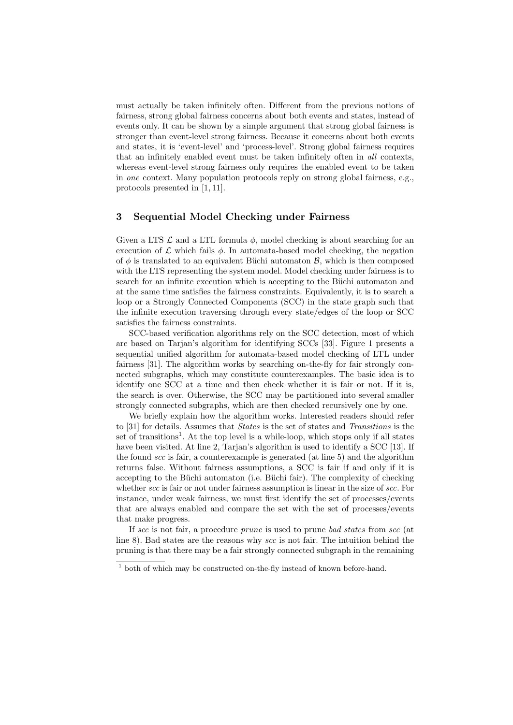must actually be taken infinitely often. Different from the previous notions of fairness, strong global fairness concerns about both events and states, instead of events only. It can be shown by a simple argument that strong global fairness is stronger than event-level strong fairness. Because it concerns about both events and states, it is 'event-level' and 'process-level'. Strong global fairness requires that an infinitely enabled event must be taken infinitely often in *all* contexts, whereas event-level strong fairness only requires the enabled event to be taken in *one* context. Many population protocols reply on strong global fairness, e.g., protocols presented in [1, 11].

### **3 Sequential Model Checking under Fairness**

Given a LTS  $\mathcal L$  and a LTL formula  $\phi$ , model checking is about searching for an execution of  $\mathcal L$  which fails  $\phi$ . In automata-based model checking, the negation of  $\phi$  is translated to an equivalent Büchi automaton  $\beta$ , which is then composed with the LTS representing the system model. Model checking under fairness is to search for an infinite execution which is accepting to the Büchi automaton and at the same time satisfies the fairness constraints. Equivalently, it is to search a loop or a Strongly Connected Components (SCC) in the state graph such that the infinite execution traversing through every state/edges of the loop or SCC satisfies the fairness constraints.

SCC-based verification algorithms rely on the SCC detection, most of which are based on Tarjan's algorithm for identifying SCCs [33]. Figure 1 presents a sequential unified algorithm for automata-based model checking of LTL under fairness [31]. The algorithm works by searching on-the-fly for fair strongly connected subgraphs, which may constitute counterexamples. The basic idea is to identify one SCC at a time and then check whether it is fair or not. If it is, the search is over. Otherwise, the SCC may be partitioned into several smaller strongly connected subgraphs, which are then checked recursively one by one.

We briefly explain how the algorithm works. Interested readers should refer to [31] for details. Assumes that *States* is the set of states and *Transitions* is the set of transitions<sup>1</sup>. At the top level is a while-loop, which stops only if all states have been visited. At line 2, Tarjan's algorithm is used to identify a SCC [13]. If the found *scc* is fair, a counterexample is generated (at line 5) and the algorithm returns false. Without fairness assumptions, a SCC is fair if and only if it is accepting to the Büchi automaton (i.e. Büchi fair). The complexity of checking whether *scc* is fair or not under fairness assumption is linear in the size of *scc*. For instance, under weak fairness, we must first identify the set of processes/events that are always enabled and compare the set with the set of processes/events that make progress.

If *scc* is not fair, a procedure *prune* is used to prune *bad states* from *scc* (at line 8). Bad states are the reasons why *scc* is not fair. The intuition behind the pruning is that there may be a fair strongly connected subgraph in the remaining

<sup>&</sup>lt;sup>1</sup> both of which may be constructed on-the-fly instead of known before-hand.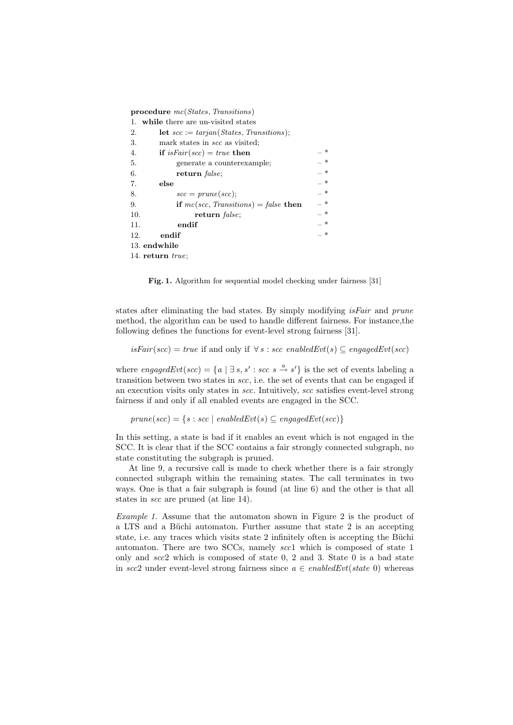**procedure** *mc*(*States, Transitions*)

| while there are un-visited states<br>1.                                  |        |  |  |  |  |  |  |  |
|--------------------------------------------------------------------------|--------|--|--|--|--|--|--|--|
| <b>let</b> $\mathit{scc} := \mathit{tarian}(States, Transitions);$<br>2. |        |  |  |  |  |  |  |  |
| 3.<br>mark states in scc as visited;                                     |        |  |  |  |  |  |  |  |
| if is $Fair(scc) = true$ then<br>4.                                      | $\ast$ |  |  |  |  |  |  |  |
| 5.<br>generate a counterexample;                                         | $\ast$ |  |  |  |  |  |  |  |
| 6.<br>return <i>false</i> ;                                              | $- *$  |  |  |  |  |  |  |  |
| else<br>7.                                                               | $- *$  |  |  |  |  |  |  |  |
| $scc = prune(scc);$<br>8.                                                | $-$ *  |  |  |  |  |  |  |  |
| if $mc(scc, Transitions) = false$ then<br>9.                             | $-$ *  |  |  |  |  |  |  |  |
| 10.<br>return <i>false</i> ;                                             | $-$ *  |  |  |  |  |  |  |  |
| 11.<br>endif                                                             | $-$ *  |  |  |  |  |  |  |  |
| endif<br>12.                                                             | $\ast$ |  |  |  |  |  |  |  |
| 13. endwhile                                                             |        |  |  |  |  |  |  |  |
| 14. return $true$                                                        |        |  |  |  |  |  |  |  |

**Fig. 1.** Algorithm for sequential model checking under fairness [31]

states after eliminating the bad states. By simply modifying *isFair* and *prune* method, the algorithm can be used to handle different fairness. For instance,the following defines the functions for event-level strong fairness [31].

*isFair*(*scc*) = *true* if and only if  $∀s:$  *scc enabledEvt*(*s*)  $subseteq$  *engagedEvt*(*scc*)

where *engagedEvt*(*scc*) = { $a | \exists s, s' : \text{sec } s \stackrel{a}{\rightarrow} s'$ } is the set of events labeling a transition between two states in *scc*, i.e. the set of events that can be engaged if an execution visits only states in *scc*. Intuitively, *scc* satisfies event-level strong fairness if and only if all enabled events are engaged in the SCC.

 $prune({\textit{scc}}) = \{s : {\textit{scc}} \mid {\textit{enabeledEvt}(s)} \subseteq {\textit{engagedEvt}(\textit{scc})}\}$ 

In this setting, a state is bad if it enables an event which is not engaged in the SCC. It is clear that if the SCC contains a fair strongly connected subgraph, no state constituting the subgraph is pruned.

At line 9, a recursive call is made to check whether there is a fair strongly connected subgraph within the remaining states. The call terminates in two ways. One is that a fair subgraph is found (at line 6) and the other is that all states in *scc* are pruned (at line 14).

*Example 1.* Assume that the automaton shown in Figure 2 is the product of a LTS and a Büchi automaton. Further assume that state 2 is an accepting state, i.e. any traces which visits state 2 infinitely often is accepting the Büchi automaton. There are two SCCs, namely *scc*1 which is composed of state 1 only and *scc*2 which is composed of state 0, 2 and 3. State 0 is a bad state in *scc*2 under event-level strong fairness since  $a \in enabledExt(state 0)$  whereas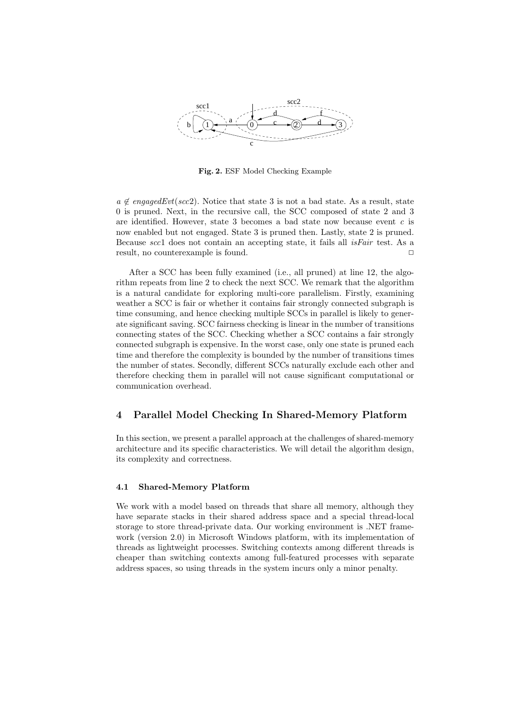

**Fig. 2.** ESF Model Checking Example

 $a \notin engagedEvt(scc2)$ . Notice that state 3 is not a bad state. As a result, state 0 is pruned. Next, in the recursive call, the SCC composed of state 2 and 3 are identified. However, state 3 becomes a bad state now because event *c* is now enabled but not engaged. State 3 is pruned then. Lastly, state 2 is pruned. Because *scc*1 does not contain an accepting state, it fails all *isFair* test. As a result, no counterexample is found. **□** 

After a SCC has been fully examined (i.e., all pruned) at line 12, the algorithm repeats from line 2 to check the next SCC. We remark that the algorithm is a natural candidate for exploring multi-core parallelism. Firstly, examining weather a SCC is fair or whether it contains fair strongly connected subgraph is time consuming, and hence checking multiple SCCs in parallel is likely to generate significant saving. SCC fairness checking is linear in the number of transitions connecting states of the SCC. Checking whether a SCC contains a fair strongly connected subgraph is expensive. In the worst case, only one state is pruned each time and therefore the complexity is bounded by the number of transitions times the number of states. Secondly, different SCCs naturally exclude each other and therefore checking them in parallel will not cause significant computational or communication overhead.

# **4 Parallel Model Checking In Shared-Memory Platform**

In this section, we present a parallel approach at the challenges of shared-memory architecture and its specific characteristics. We will detail the algorithm design, its complexity and correctness.

#### **4.1 Shared-Memory Platform**

We work with a model based on threads that share all memory, although they have separate stacks in their shared address space and a special thread-local storage to store thread-private data. Our working environment is .NET framework (version 2.0) in Microsoft Windows platform, with its implementation of threads as lightweight processes. Switching contexts among different threads is cheaper than switching contexts among full-featured processes with separate address spaces, so using threads in the system incurs only a minor penalty.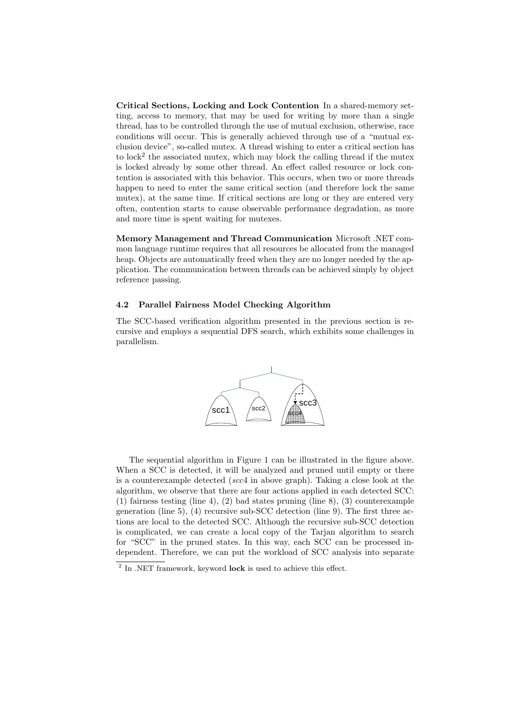**Critical Sections, Locking and Lock Contention** In a shared-memory setting, access to memory, that may be used for writing by more than a single thread, has to be controlled through the use of mutual exclusion, otherwise, race conditions will occur. This is generally achieved through use of a "mutual exclusion device", so-called mutex. A thread wishing to enter a critical section has to lock<sup>2</sup> the associated mutex, which may block the calling thread if the mutex is locked already by some other thread. An effect called resource or lock contention is associated with this behavior. This occurs, when two or more threads happen to need to enter the same critical section (and therefore lock the same mutex), at the same time. If critical sections are long or they are entered very often, contention starts to cause observable performance degradation, as more and more time is spent waiting for mutexes.

**Memory Management and Thread Communication** Microsoft .NET common language runtime requires that all resources be allocated from the managed heap. Objects are automatically freed when they are no longer needed by the application. The communication between threads can be achieved simply by object reference passing.

### **4.2 Parallel Fairness Model Checking Algorithm**

The SCC-based verification algorithm presented in the previous section is recursive and employs a sequential DFS search, which exhibits some challenges in parallelism.



The sequential algorithm in Figure 1 can be illustrated in the figure above. When a SCC is detected, it will be analyzed and pruned until empty or there is a counterexample detected (*scc*4 in above graph). Taking a close look at the algorithm, we observe that there are four actions applied in each detected SCC: (1) fairness testing (line 4), (2) bad states pruning (line 8), (3) counterexample generation (line 5),  $(4)$  recursive sub-SCC detection (line 9). The first three actions are local to the detected SCC. Although the recursive sub-SCC detection is complicated, we can create a local copy of the Tarjan algorithm to search for "SCC" in the pruned states. In this way, each SCC can be processed independent. Therefore, we can put the workload of SCC analysis into separate

<sup>2</sup> In .NET framework, keyword **lock** is used to achieve this effect.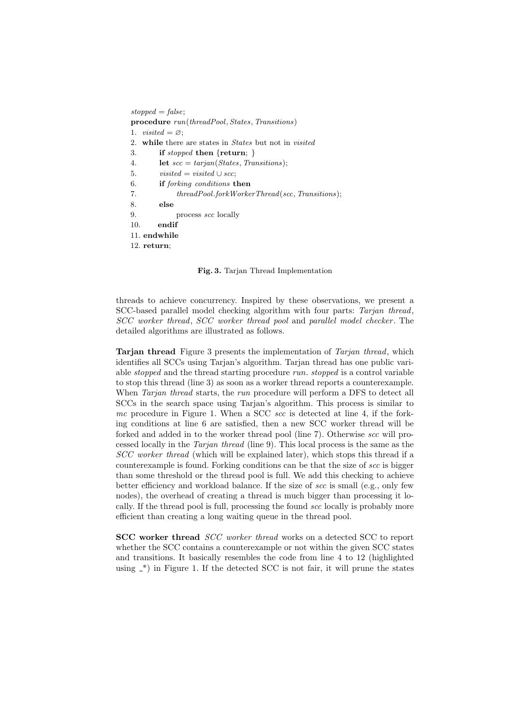*stopped* = *false*; **procedure** *run*(*threadPool, States, Transitions*) 1*. visited* =  $\varnothing$ ; 2*.* **while** there are states in *States* but not in *visited* 3*.* **if** *stopped* **then** *{***return**; *}* 4*.* **let** *scc* = *tarjan*(*States, Transitions*); 5.  $visited = visited \cup \textit{scc}$ ; 6*.* **if** *forking conditions* **then** 7*. threadPool.forkWorkerThread*(*scc, Transitions*); 8*.* **else** 9*.* process *scc* locally 10*.* **endif** 11*.* **endwhile** 12*.* **return**;

**Fig. 3.** Tarjan Thread Implementation

threads to achieve concurrency. Inspired by these observations, we present a SCC-based parallel model checking algorithm with four parts: *Tarjan thread*, *SCC worker thread*, *SCC worker thread pool* and *parallel model checker*. The detailed algorithms are illustrated as follows.

**Tarjan thread** Figure 3 presents the implementation of *Tarjan thread*, which identifies all SCCs using Tarjan's algorithm. Tarjan thread has one public variable *stopped* and the thread starting procedure *run*. *stopped* is a control variable to stop this thread (line 3) as soon as a worker thread reports a counterexample. When *Tarjan thread* starts, the *run* procedure will perform a DFS to detect all SCCs in the search space using Tarjan's algorithm. This process is similar to *mc* procedure in Figure 1. When a SCC *scc* is detected at line 4, if the forking conditions at line 6 are satisfied, then a new SCC worker thread will be forked and added in to the worker thread pool (line 7). Otherwise *scc* will processed locally in the *Tarjan thread* (line 9). This local process is the same as the *SCC worker thread* (which will be explained later), which stops this thread if a counterexample is found. Forking conditions can be that the size of *scc* is bigger than some threshold or the thread pool is full. We add this checking to achieve better efficiency and workload balance. If the size of *scc* is small (e.g., only few nodes), the overhead of creating a thread is much bigger than processing it locally. If the thread pool is full, processing the found *scc* locally is probably more efficient than creating a long waiting queue in the thread pool.

**SCC worker thread** *SCC worker thread* works on a detected SCC to report whether the SCC contains a counterexample or not within the given SCC states and transitions. It basically resembles the code from line 4 to 12 (highlighted using  $\rightarrow$ ) in Figure 1. If the detected SCC is not fair, it will prune the states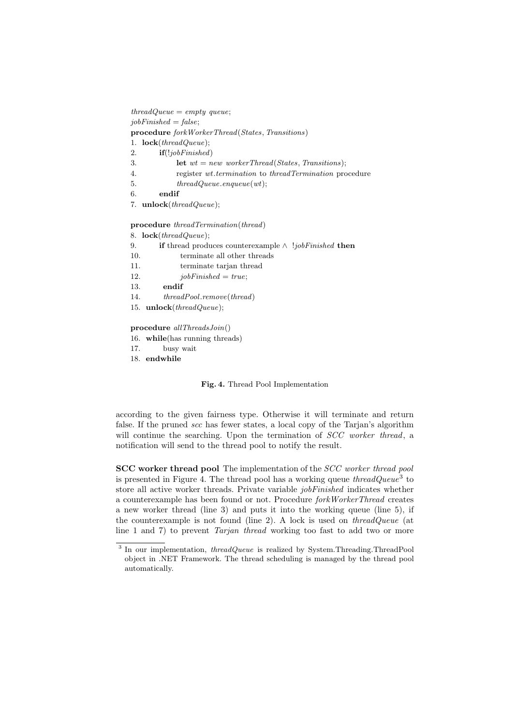$threadQueue = empty queue;$ *jobFinished* = *false*; **procedure** *forkWorkerThread*(*States, Transitions*) *.* **lock**(*threadQueue*); *.* **if**(!*jobFinished*) *.* **let** *wt* = *new workerThread*(*States, Transitions*); *.* register *wt.termination* to *threadTermination* procedure *. threadQueue.enqueue*(*wt*); 6*.* **endif** *.* **unlock**(*threadQueue*); **procedure** *threadTermination*(*thread*) *.* **lock**(*threadQueue*); *.* **if** thread produces counterexample *∧* !*jobFinished* **then** *.* terminate all other threads *.* terminate tarjan thread *. jobFinished* = *true*; 13*.* **endif** *. threadPool.remove*(*thread*)

15*.* **unlock**(*threadQueue*);

**procedure** *allThreadsJoin*()

- 16*.* **while**(has running threads)
- 17*.* busy wait
- 18*.* **endwhile**

### **Fig. 4.** Thread Pool Implementation

according to the given fairness type. Otherwise it will terminate and return false. If the pruned *scc* has fewer states, a local copy of the Tarjan's algorithm will continue the searching. Upon the termination of *SCC worker thread*, a notification will send to the thread pool to notify the result.

**SCC worker thread pool** The implementation of the *SCC worker thread pool* is presented in Figure 4. The thread pool has a working queue *threadQueue*<sup>3</sup> to store all active worker threads. Private variable *jobFinished* indicates whether a counterexample has been found or not. Procedure *forkWorkerThread* creates a new worker thread (line 3) and puts it into the working queue (line 5), if the counterexample is not found (line 2). A lock is used on *threadQueue* (at line 1 and 7) to prevent *Tarjan thread* working too fast to add two or more

<sup>&</sup>lt;sup>3</sup> In our implementation, *threadQueue* is realized by System.Threading.ThreadPool object in .NET Framework. The thread scheduling is managed by the thread pool automatically.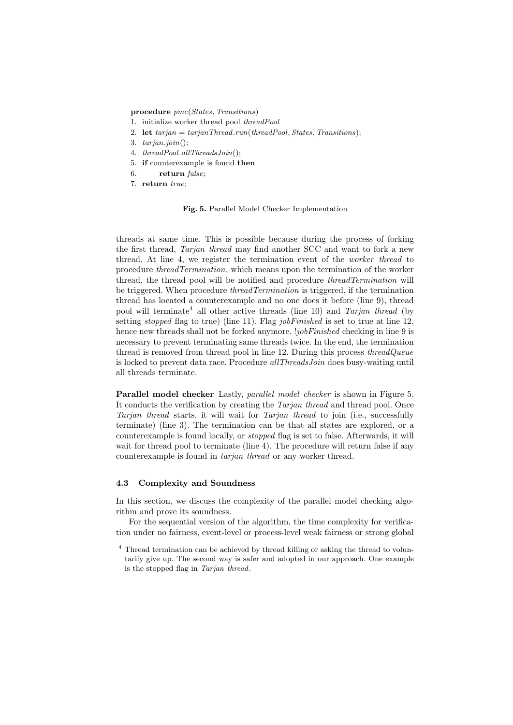**procedure** *pmc*(*States, Transitions*)

- 1*.* initialize worker thread pool *threadPool*
- 2*.* **let** *tarjan* = *tarjanThread.run*(*threadPool, States, Transitions*);
- 3*. tarjan.join*();
- 4*. threadPool.allThreadsJoin*();
- 5*.* **if** counterexample is found **then**
- 6*.* **return** *false*;
- 7*.* **return** *true*;

#### **Fig. 5.** Parallel Model Checker Implementation

threads at same time. This is possible because during the process of forking the first thread, *Tarjan thread* may find another SCC and want to fork a new thread. At line 4, we register the termination event of the *worker thread* to procedure *threadTermination*, which means upon the termination of the worker thread, the thread pool will be notified and procedure *threadTermination* will be triggered. When procedure *threadTermination* is triggered, if the termination thread has located a counterexample and no one does it before (line 9), thread pool will terminate<sup>4</sup> all other active threads (line 10) and *Tarjan thread* (by setting *stopped* flag to true) (line 11). Flag *jobFinished* is set to true at line 12, hence new threads shall not be forked anymore. !*jobFinished* checking in line 9 is necessary to prevent terminating same threads twice. In the end, the termination thread is removed from thread pool in line 12. During this process *threadQueue* is locked to prevent data race. Procedure *allThreadsJoin* does busy-waiting until all threads terminate.

**Parallel model checker** Lastly, *parallel model checker* is shown in Figure 5. It conducts the verification by creating the *Tarjan thread* and thread pool. Once *Tarjan thread* starts, it will wait for *Tarjan thread* to join (i.e., successfully terminate) (line 3). The termination can be that all states are explored, or a counterexample is found locally, or *stopped* flag is set to false. Afterwards, it will wait for thread pool to terminate (line 4). The procedure will return false if any counterexample is found in *tarjan thread* or any worker thread.

### **4.3 Complexity and Soundness**

In this section, we discuss the complexity of the parallel model checking algorithm and prove its soundness.

For the sequential version of the algorithm, the time complexity for verification under no fairness, event-level or process-level weak fairness or strong global

<sup>4</sup> Thread termination can be achieved by thread killing or asking the thread to voluntarily give up. The second way is safer and adopted in our approach. One example is the stopped flag in *Tarjan thread*.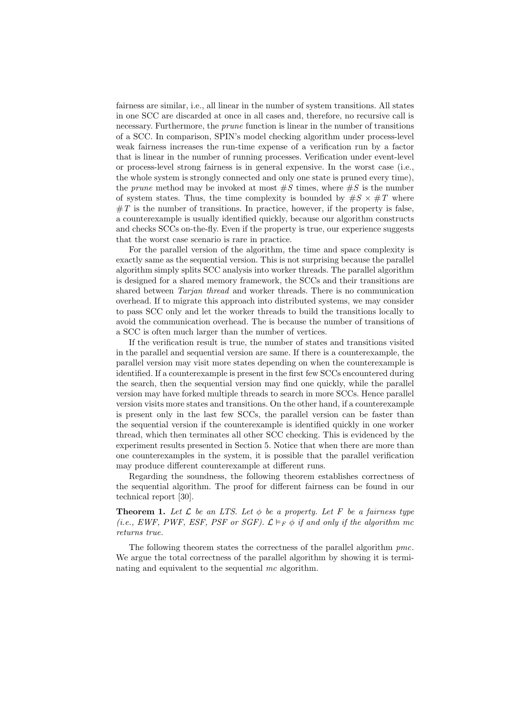fairness are similar, i.e., all linear in the number of system transitions. All states in one SCC are discarded at once in all cases and, therefore, no recursive call is necessary. Furthermore, the *prune* function is linear in the number of transitions of a SCC. In comparison, SPIN's model checking algorithm under process-level weak fairness increases the run-time expense of a verification run by a factor that is linear in the number of running processes. Verification under event-level or process-level strong fairness is in general expensive. In the worst case (i.e., the whole system is strongly connected and only one state is pruned every time), the *prune* method may be invoked at most  $\#S$  times, where  $\#S$  is the number of system states. Thus, the time complexity is bounded by  $\#S \times \#T$  where  $\#T$  is the number of transitions. In practice, however, if the property is false, a counterexample is usually identified quickly, because our algorithm constructs and checks SCCs on-the-fly. Even if the property is true, our experience suggests that the worst case scenario is rare in practice.

For the parallel version of the algorithm, the time and space complexity is exactly same as the sequential version. This is not surprising because the parallel algorithm simply splits SCC analysis into worker threads. The parallel algorithm is designed for a shared memory framework, the SCCs and their transitions are shared between *Tarjan thread* and worker threads. There is no communication overhead. If to migrate this approach into distributed systems, we may consider to pass SCC only and let the worker threads to build the transitions locally to avoid the communication overhead. The is because the number of transitions of a SCC is often much larger than the number of vertices.

If the verification result is true, the number of states and transitions visited in the parallel and sequential version are same. If there is a counterexample, the parallel version may visit more states depending on when the counterexample is identified. If a counterexample is present in the first few SCCs encountered during the search, then the sequential version may find one quickly, while the parallel version may have forked multiple threads to search in more SCCs. Hence parallel version visits more states and transitions. On the other hand, if a counterexample is present only in the last few SCCs, the parallel version can be faster than the sequential version if the counterexample is identified quickly in one worker thread, which then terminates all other SCC checking. This is evidenced by the experiment results presented in Section 5. Notice that when there are more than one counterexamples in the system, it is possible that the parallel verification may produce different counterexample at different runs.

Regarding the soundness, the following theorem establishes correctness of the sequential algorithm. The proof for different fairness can be found in our technical report [30].

# **Theorem 1.** Let  $\mathcal{L}$  be an LTS. Let  $\phi$  be a property. Let F be a fairness type *(i.e., EWF, PWF, ESF, PSF or SGF).*  $\mathcal{L} \models_F \phi$  *if and only if the algorithm mc returns true.*

The following theorem states the correctness of the parallel algorithm *pmc*. We argue the total correctness of the parallel algorithm by showing it is terminating and equivalent to the sequential *mc* algorithm.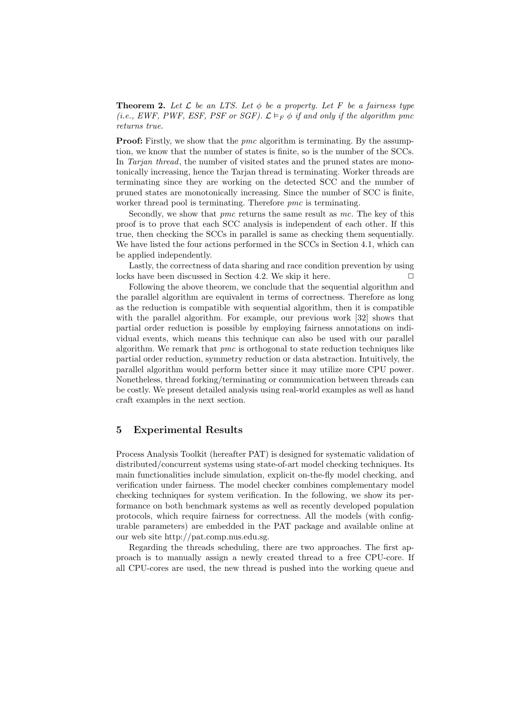**Theorem 2.** Let  $\mathcal{L}$  be an LTS. Let  $\phi$  be a property. Let F be a fairness type *(i.e., EWF, PWF, ESF, PSF or SGF).*  $\mathcal{L} \models_F \phi$  *if and only if the algorithm pmc returns true.*

**Proof:** Firstly, we show that the *pmc* algorithm is terminating. By the assumption, we know that the number of states is finite, so is the number of the SCCs. In *Tarjan thread*, the number of visited states and the pruned states are monotonically increasing, hence the Tarjan thread is terminating. Worker threads are terminating since they are working on the detected SCC and the number of pruned states are monotonically increasing. Since the number of SCC is finite, worker thread pool is terminating. Therefore *pmc* is terminating.

Secondly, we show that *pmc* returns the same result as *mc*. The key of this proof is to prove that each SCC analysis is independent of each other. If this true, then checking the SCCs in parallel is same as checking them sequentially. We have listed the four actions performed in the SCCs in Section 4.1, which can be applied independently.

Lastly, the correctness of data sharing and race condition prevention by using locks have been discussed in Section 4.2. We skip it here.  $\Box$ 

Following the above theorem, we conclude that the sequential algorithm and the parallel algorithm are equivalent in terms of correctness. Therefore as long as the reduction is compatible with sequential algorithm, then it is compatible with the parallel algorithm. For example, our previous work [32] shows that partial order reduction is possible by employing fairness annotations on individual events, which means this technique can also be used with our parallel algorithm. We remark that *pmc* is orthogonal to state reduction techniques like partial order reduction, symmetry reduction or data abstraction. Intuitively, the parallel algorithm would perform better since it may utilize more CPU power. Nonetheless, thread forking/terminating or communication between threads can be costly. We present detailed analysis using real-world examples as well as hand craft examples in the next section.

# **5 Experimental Results**

Process Analysis Toolkit (hereafter PAT) is designed for systematic validation of distributed/concurrent systems using state-of-art model checking techniques. Its main functionalities include simulation, explicit on-the-fly model checking, and verification under fairness. The model checker combines complementary model checking techniques for system verification. In the following, we show its performance on both benchmark systems as well as recently developed population protocols, which require fairness for correctness. All the models (with configurable parameters) are embedded in the PAT package and available online at our web site http://pat.comp.nus.edu.sg.

Regarding the threads scheduling, there are two approaches. The first approach is to manually assign a newly created thread to a free CPU-core. If all CPU-cores are used, the new thread is pushed into the working queue and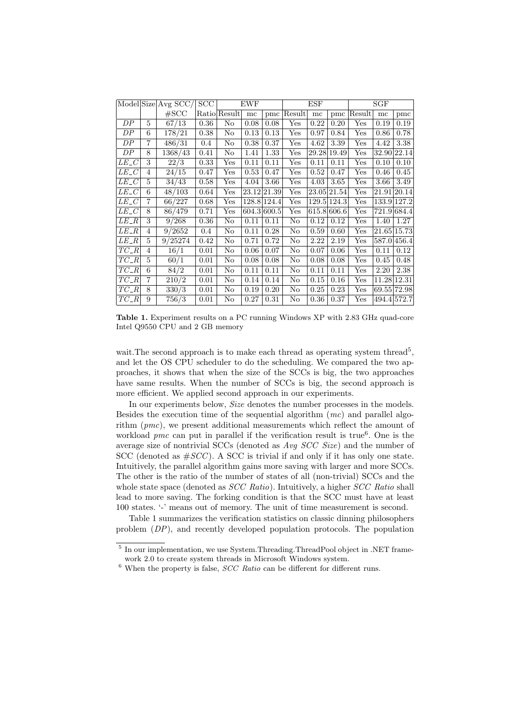|         |                | Model Size Avg SCC/ | SCC  | <b>EWF</b>   |      |             |          | <b>ESF</b> |       | SGF          |             |             |
|---------|----------------|---------------------|------|--------------|------|-------------|----------|------------|-------|--------------|-------------|-------------|
|         |                | $\#SCC$             |      | Ratio Result | mc   | pmc         | Result   | mc         | pmc   | Result       | mc          | pmc         |
| DP      | 5              | 67/13               | 0.36 | No           | 0.08 | 0.08        | Yes      | 0.22       | 0.20  | Yes          | 0.19        | 0.19        |
| DP      | 6              | 178/21              | 0.38 | No           | 0.13 | 0.13        | Yes      | 0.97       | 0.84  | Yes          | 0.86        | 0.78        |
| DP      | $\overline{7}$ | 486/31              | 0.4  | No           | 0.38 | 0.37        | Yes      | 4.62       | 3.39  | Yes          | 4.42        | 3.38        |
| DP      | 8              | 1368/43             | 0.41 | No           | 1.41 | 1.33        | Yes      | 29.28      | 19.49 | Yes          | 32.90       | 22.14       |
| $LE\_C$ | 3              | 22/3                | 0.33 | $_{\rm Yes}$ | 0.11 | 0.11        | Yes      | 0.11       | 0.11  | Yes          | 0.10        | 0.10        |
| $LE\_C$ | 4              | 24/15               | 0.47 | $_{\rm Yes}$ | 0.53 | 0.47        | Yes      | 0.52       | 0.47  | $_{\rm Yes}$ | 0.46        | 0.45        |
| $LE\_C$ | 5              | 34/43               | 0.58 | $_{\rm Yes}$ | 4.04 | 3.66        | Yes      | 4.03       | 3.65  | Yes          | 3.66        | 3.49        |
| $LE\_C$ | 6              | 48/103              | 0.64 | Yes          |      | 23.12 21.39 | Yes      | 23.05      | 21.54 | Yes          |             | 21.91 20.14 |
| $LE\_C$ | $\overline{7}$ | 66/227              | 0.68 | $_{\rm Yes}$ |      | 128.8 124.4 | Yes      | 129.5      | 124.3 | Yes          |             | 133.9 127.2 |
| $LE\_C$ | 8              | 86/479              | 0.71 | $_{\rm Yes}$ |      | 604.3 600.5 | Yes      | 615.8      | 606.6 | Yes          |             | 721.9 684.4 |
| $LE\_R$ | 3              | 9/268               | 0.36 | No           | 0.11 | 0.11        | No       | 0.12       | 0.12  | Yes          | 1.40        | 1.27        |
| LE_R    | 4              | 9/2652              | 0.4  | No           | 0.11 | 0.28        | No       | 0.59       | 0.60  | Yes          | 21.65       | 15.73       |
| $LE\_R$ | 5              | 9/25274             | 0.42 | No           | 0.71 | 0.72        | No       | 2.22       | 2.19  | Yes          | 587.0 456.4 |             |
| $TC_R$  | $\overline{4}$ | 16/1                | 0.01 | $\rm No$     | 0.06 | 0.07        | No       | 0.07       | 0.06  | $_{\rm Yes}$ | 0.11        | 0.12        |
| $TC_R$  | 5              | 60/1                | 0.01 | No           | 0.08 | 0.08        | $\rm No$ | 0.08       | 0.08  | Yes          | 0.45        | 0.48        |
| $TC_R$  | 6              | 84/2                | 0.01 | No           | 0.11 | 0.11        | No       | 0.11       | 0.11  | Yes          | 2.20        | 2.38        |
| $TC_R$  | $\overline{7}$ | 210/2               | 0.01 | No           | 0.14 | 0.14        | $\rm No$ | 0.15       | 0.16  | Yes          | 11.28 12.31 |             |
| $TC_R$  | 8              | 330/3               | 0.01 | No           | 0.19 | 0.20        | $\rm No$ | 0.25       | 0.23  | Yes          | 69.55       | 72.98       |
| $TC_R$  | 9              | 756/3               | 0.01 | No           | 0.27 | 0.31        | No       | 0.36       | 0.37  | Yes          |             | 494.4 572.7 |

**Table 1.** Experiment results on a PC running Windows XP with 2.83 GHz quad-core Intel Q9550 CPU and 2 GB memory

wait. The second approach is to make each thread as operating system thread<sup>5</sup>, and let the OS CPU scheduler to do the scheduling. We compared the two approaches, it shows that when the size of the SCCs is big, the two approaches have same results. When the number of SCCs is big, the second approach is more efficient. We applied second approach in our experiments.

In our experiments below, *Size* denotes the number processes in the models. Besides the execution time of the sequential algorithm (*mc*) and parallel algorithm (*pmc*), we present additional measurements which reflect the amount of workload *pmc* can put in parallel if the verification result is true<sup>6</sup>. One is the average size of nontrivial SCCs (denoted as *Avg SCC Size*) and the number of SCC (denoted as #*SCC* ). A SCC is trivial if and only if it has only one state. Intuitively, the parallel algorithm gains more saving with larger and more SCCs. The other is the ratio of the number of states of all (non-trivial) SCCs and the whole state space (denoted as *SCC Ratio*). Intuitively, a higher *SCC Ratio* shall lead to more saving. The forking condition is that the SCC must have at least 100 states. '-' means out of memory. The unit of time measurement is second.

Table 1 summarizes the verification statistics on classic dinning philosophers problem (*DP*), and recently developed population protocols. The population

<sup>&</sup>lt;sup>5</sup> In our implementation, we use System.Threading.ThreadPool object in .NET framework 2.0 to create system threads in Microsoft Windows system.

<sup>6</sup> When the property is false, *SCC Ratio* can be different for different runs.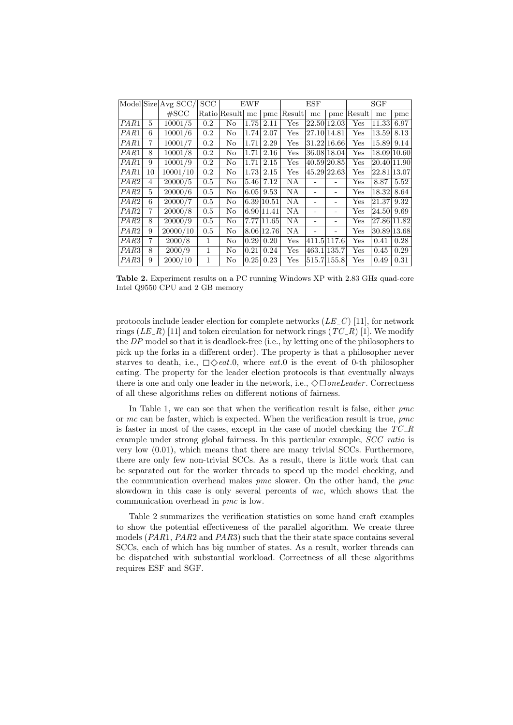|                  |                | Model Size Avg SCC/ | SCC          | <b>EWF</b>   |      |            |        | <b>ESF</b>  |             | SGF          |             |      |
|------------------|----------------|---------------------|--------------|--------------|------|------------|--------|-------------|-------------|--------------|-------------|------|
|                  |                | $\#SCC$             |              | Ratio Result | mc   | pmc        | Result | mc          | pmc         | Result       | mc          | pmc  |
| PAR1             | 5              | 10001/5             | 0.2          | No           | 1.75 | 2.11       | Yes    | 22.50       | 12.03       | Yes          | 11.33       | 6.97 |
| PAR1             | 6              | 10001/6             | 0.2          | No           | 1.74 | 2.07       | Yes    | 27.10 14.81 |             | $_{\rm Yes}$ | 13.59       | 8.13 |
| PAR1             | 7              | 10001/7             | 0.2          | No           | 1.71 | 2.29       | Yes    |             | 31.22 16.66 | $_{\rm Yes}$ | 15.89       | 9.14 |
| PAR1             | 8              | 10001/8             | 0.2          | No           | 1.71 | 2.16       | Yes    |             | 36.08 18.04 | Yes          | 18.09 10.60 |      |
| PAR1             | 9              | 10001/9             | 0.2          | No           | 1.71 | 2.15       | Yes    |             | 40.59 20.85 | $_{\rm Yes}$ | 20.40 11.90 |      |
| PAR1             | 10             | 10001/10            | 0.2          | $\rm No$     | 1.73 | 2.15       | Yes    | 45.29 22.63 |             | Yes          | 22.81 13.07 |      |
| PAR <sub>2</sub> | $\overline{4}$ | 20000/5             | 0.5          | No           | 5.46 | 7.12       | NA     |             |             | Yes          | 8.87        | 5.52 |
| PAR <sub>2</sub> | 5              | 20000/6             | 0.5          | No           | 6.05 | 9.53       | NA     | -           |             | Yes          | 18.32       | 8.64 |
| PAR <sub>2</sub> | 6              | 20000/7             | $0.5\,$      | No           |      | 6.39 10.51 | NA     |             |             | Yes          | 21.37       | 9.32 |
| PAR <sub>2</sub> | $\overline{7}$ | 20000/8             | 0.5          | No           |      | 6.90 11.41 | NA     | -           |             | Yes          | 24.50       | 9.69 |
| PAR <sub>2</sub> | 8              | 20000/9             | 0.5          | No           |      | 7.77 11.65 | NA     |             |             | Yes          | 27.86 11.82 |      |
| PAR2             | 9              | 20000/10            | 0.5          | $\rm No$     |      | 8.06 12.76 | NA     |             |             | Yes          | 30.89 13.68 |      |
| PAR <sub>3</sub> | $\overline{7}$ | 2000/8              | $\mathbf{1}$ | No           | 0.29 | 0.20       | Yes    | 411.5 117.6 |             | Yes          | 0.41        | 0.28 |
| PAR3             | 8              | 2000/9              | $\mathbf{1}$ | No           | 0.21 | 0.24       | Yes    | 463.1       | 135.7       | $_{\rm Yes}$ | 0.45        | 0.29 |
| PAR <sub>3</sub> | 9              | 2000/10             | 1            | No           | 0.25 | 0.23       | Yes    | 515.7 155.8 |             | Yes          | 0.49        | 0.31 |

**Table 2.** Experiment results on a PC running Windows XP with 2.83 GHz quad-core Intel Q9550 CPU and 2 GB memory

protocols include leader election for complete networks (*LE C* ) [11], for network rings  $(LE_R)$  [11] and token circulation for network rings  $(TC_R)$  [1]. We modify the *DP* model so that it is deadlock-free (i.e., by letting one of the philosophers to pick up the forks in a different order). The property is that a philosopher never starves to death, i.e.,  $\Box \Diamond eat.0$ , where *eat*.0 is the event of 0-th philosopher eating. The property for the leader election protocols is that eventually always there is one and only one leader in the network, i.e.,  $\Diamond \Box$  *oneLeader*. Correctness of all these algorithms relies on different notions of fairness.

In Table 1, we can see that when the verification result is false, either *pmc* or *mc* can be faster, which is expected. When the verification result is true, *pmc* is faster in most of the cases, except in the case of model checking the *TC R* example under strong global fairness. In this particular example, *SCC ratio* is very low (0*.*01), which means that there are many trivial SCCs. Furthermore, there are only few non-trivial SCCs. As a result, there is little work that can be separated out for the worker threads to speed up the model checking, and the communication overhead makes *pmc* slower. On the other hand, the *pmc* slowdown in this case is only several percents of *mc*, which shows that the communication overhead in *pmc* is low.

Table 2 summarizes the verification statistics on some hand craft examples to show the potential effectiveness of the parallel algorithm. We create three models (*PAR*1, *PAR*2 and *PAR*3) such that the their state space contains several SCCs, each of which has big number of states. As a result, worker threads can be dispatched with substantial workload. Correctness of all these algorithms requires ESF and SGF.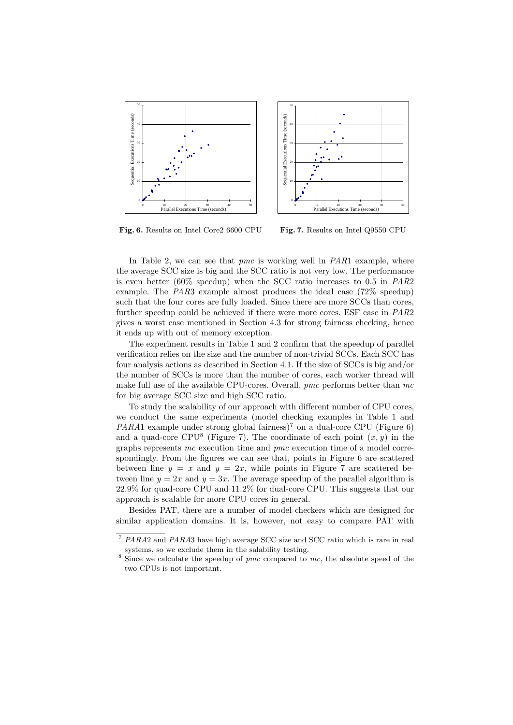



**Fig. 6.** Results on Intel Core2 6600 CPU

**Fig. 7.** Results on Intel Q9550 CPU

In Table 2, we can see that *pmc* is working well in *PAR*1 example, where the average SCC size is big and the SCC ratio is not very low. The performance is even better (60% speedup) when the SCC ratio increases to 0.5 in *PAR*2 example. The *PAR*3 example almost produces the ideal case (72% speedup) such that the four cores are fully loaded. Since there are more SCCs than cores, further speedup could be achieved if there were more cores. ESF case in *PAR*2 gives a worst case mentioned in Section 4.3 for strong fairness checking, hence it ends up with out of memory exception.

The experiment results in Table 1 and 2 confirm that the speedup of parallel verification relies on the size and the number of non-trivial SCCs. Each SCC has four analysis actions as described in Section 4.1. If the size of SCCs is big and/or the number of SCCs is more than the number of cores, each worker thread will make full use of the available CPU-cores. Overall, *pmc* performs better than *mc* for big average SCC size and high SCC ratio.

To study the scalability of our approach with different number of CPU cores, we conduct the same experiments (model checking examples in Table 1 and *PARA*1 example under strong global fairness)<sup>7</sup> on a dual-core CPU (Figure 6) and a quad-core CPU<sup>8</sup> (Figure 7). The coordinate of each point  $(x, y)$  in the graphs represents *mc* execution time and *pmc* execution time of a model correspondingly. From the figures we can see that, points in Figure 6 are scattered between line  $y = x$  and  $y = 2x$ , while points in Figure 7 are scattered between line  $y = 2x$  and  $y = 3x$ . The average speedup of the parallel algorithm is 22*.*9% for quad-core CPU and 11*.*2% for dual-core CPU. This suggests that our approach is scalable for more CPU cores in general.

Besides PAT, there are a number of model checkers which are designed for similar application domains. It is, however, not easy to compare PAT with

<sup>7</sup> *PARA*2 and *PARA*3 have high average SCC size and SCC ratio which is rare in real systems, so we exclude them in the salability testing.

<sup>8</sup> Since we calculate the speedup of *pmc* compared to *mc*, the absolute speed of the two CPUs is not important.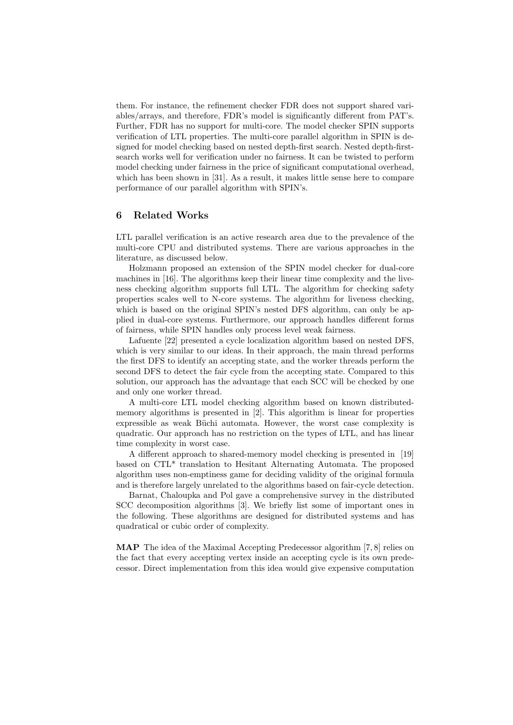them. For instance, the refinement checker FDR does not support shared variables/arrays, and therefore, FDR's model is significantly different from PAT's. Further, FDR has no support for multi-core. The model checker SPIN supports verification of LTL properties. The multi-core parallel algorithm in SPIN is designed for model checking based on nested depth-first search. Nested depth-firstsearch works well for verification under no fairness. It can be twisted to perform model checking under fairness in the price of significant computational overhead, which has been shown in [31]. As a result, it makes little sense here to compare performance of our parallel algorithm with SPIN's.

### **6 Related Works**

LTL parallel verification is an active research area due to the prevalence of the multi-core CPU and distributed systems. There are various approaches in the literature, as discussed below.

Holzmann proposed an extension of the SPIN model checker for dual-core machines in [16]. The algorithms keep their linear time complexity and the liveness checking algorithm supports full LTL. The algorithm for checking safety properties scales well to N-core systems. The algorithm for liveness checking, which is based on the original SPIN's nested DFS algorithm, can only be applied in dual-core systems. Furthermore, our approach handles different forms of fairness, while SPIN handles only process level weak fairness.

Lafuente [22] presented a cycle localization algorithm based on nested DFS, which is very similar to our ideas. In their approach, the main thread performs the first DFS to identify an accepting state, and the worker threads perform the second DFS to detect the fair cycle from the accepting state. Compared to this solution, our approach has the advantage that each SCC will be checked by one and only one worker thread.

A multi-core LTL model checking algorithm based on known distributedmemory algorithms is presented in [2]. This algorithm is linear for properties expressible as weak Büchi automata. However, the worst case complexity is quadratic. Our approach has no restriction on the types of LTL, and has linear time complexity in worst case.

A different approach to shared-memory model checking is presented in [19] based on CTL\* translation to Hesitant Alternating Automata. The proposed algorithm uses non-emptiness game for deciding validity of the original formula and is therefore largely unrelated to the algorithms based on fair-cycle detection.

Barnat, Chaloupka and Pol gave a comprehensive survey in the distributed SCC decomposition algorithms [3]. We briefly list some of important ones in the following. These algorithms are designed for distributed systems and has quadratical or cubic order of complexity.

**MAP** The idea of the Maximal Accepting Predecessor algorithm [7, 8] relies on the fact that every accepting vertex inside an accepting cycle is its own predecessor. Direct implementation from this idea would give expensive computation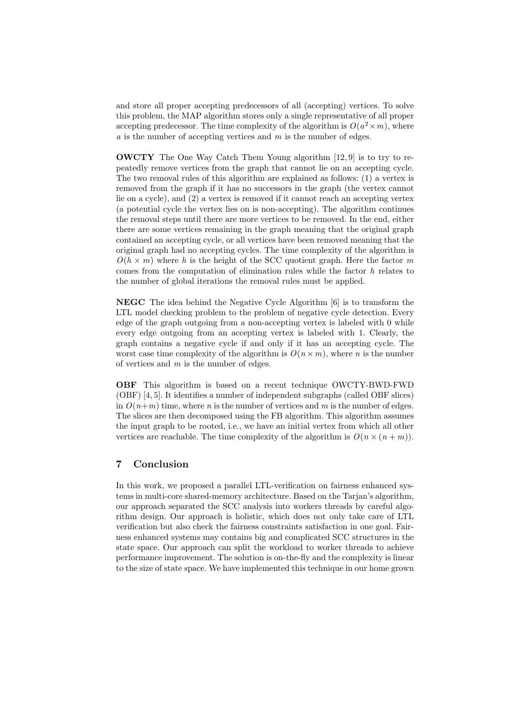and store all proper accepting predecessors of all (accepting) vertices. To solve this problem, the MAP algorithm stores only a single representative of all proper accepting predecessor. The time complexity of the algorithm is  $O(a^2 \times m)$ , where *a* is the number of accepting vertices and *m* is the number of edges.

**OWCTY** The One Way Catch Them Young algorithm [12, 9] is to try to repeatedly remove vertices from the graph that cannot lie on an accepting cycle. The two removal rules of this algorithm are explained as follows: (1) a vertex is removed from the graph if it has no successors in the graph (the vertex cannot lie on a cycle), and (2) a vertex is removed if it cannot reach an accepting vertex (a potential cycle the vertex lies on is non-accepting). The algorithm continues the removal steps until there are more vertices to be removed. In the end, either there are some vertices remaining in the graph meaning that the original graph contained an accepting cycle, or all vertices have been removed meaning that the original graph had no accepting cycles. The time complexity of the algorithm is  $O(h \times m)$  where *h* is the height of the SCC quotient graph. Here the factor *m* comes from the computation of elimination rules while the factor *h* relates to the number of global iterations the removal rules must be applied.

**NEGC** The idea behind the Negative Cycle Algorithm [6] is to transform the LTL model checking problem to the problem of negative cycle detection. Every edge of the graph outgoing from a non-accepting vertex is labeled with 0 while every edge outgoing from an accepting vertex is labeled with 1. Clearly, the graph contains a negative cycle if and only if it has an accepting cycle. The worst case time complexity of the algorithm is  $O(n \times m)$ , where *n* is the number of vertices and *m* is the number of edges.

**OBF** This algorithm is based on a recent technique OWCTY-BWD-FWD (OBF) [4, 5]. It identifies a number of independent subgraphs (called OBF slices) in  $O(n+m)$  time, where *n* is the number of vertices and *m* is the number of edges. The slices are then decomposed using the FB algorithm. This algorithm assumes the input graph to be rooted, i.e., we have an initial vertex from which all other vertices are reachable. The time complexity of the algorithm is  $O(n \times (n+m))$ .

# **7 Conclusion**

In this work, we proposed a parallel LTL-verification on fairness enhanced systems in multi-core shared-memory architecture. Based on the Tarjan's algorithm, our approach separated the SCC analysis into workers threads by careful algorithm design. Our approach is holistic, which does not only take care of LTL verification but also check the fairness constraints satisfaction in one goal. Fairness enhanced systems may contains big and complicated SCC structures in the state space. Our approach can split the workload to worker threads to achieve performance improvement. The solution is on-the-fly and the complexity is linear to the size of state space. We have implemented this technique in our home grown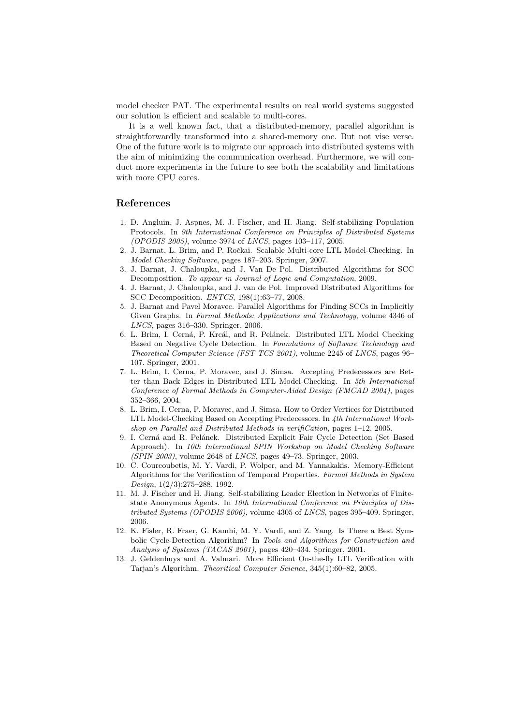model checker PAT. The experimental results on real world systems suggested our solution is efficient and scalable to multi-cores.

It is a well known fact, that a distributed-memory, parallel algorithm is straightforwardly transformed into a shared-memory one. But not vise verse. One of the future work is to migrate our approach into distributed systems with the aim of minimizing the communication overhead. Furthermore, we will conduct more experiments in the future to see both the scalability and limitations with more CPU cores.

# **References**

- 1. D. Angluin, J. Aspnes, M. J. Fischer, and H. Jiang. Self-stabilizing Population Protocols. In *9th International Conference on Principles of Distributed Systems (OPODIS 2005)*, volume 3974 of *LNCS*, pages 103–117, 2005.
- 2. J. Barnat, L. Brim, and P. Ročkai. Scalable Multi-core LTL Model-Checking. In *Model Checking Software*, pages 187–203. Springer, 2007.
- 3. J. Barnat, J. Chaloupka, and J. Van De Pol. Distributed Algorithms for SCC Decomposition. *To appear in Journal of Logic and Computation*, 2009.
- 4. J. Barnat, J. Chaloupka, and J. van de Pol. Improved Distributed Algorithms for SCC Decomposition. *ENTCS*, 198(1):63–77, 2008.
- 5. J. Barnat and Pavel Moravec. Parallel Algorithms for Finding SCCs in Implicitly Given Graphs. In *Formal Methods: Applications and Technology*, volume 4346 of *LNCS*, pages 316–330. Springer, 2006.
- 6. L. Brim, I. Cerná, P. Krcál, and R. Pelánek. Distributed LTL Model Checking Based on Negative Cycle Detection. In *Foundations of Software Technology and Theoretical Computer Science (FST TCS 2001)*, volume 2245 of *LNCS*, pages 96– 107. Springer, 2001.
- 7. L. Brim, I. Cerna, P. Moravec, and J. Simsa. Accepting Predecessors are Better than Back Edges in Distributed LTL Model-Checking. In *5th International Conference of Formal Methods in Computer-Aided Design (FMCAD 2004)*, pages 352–366, 2004.
- 8. L. Brim, I. Cerna, P. Moravec, and J. Simsa. How to Order Vertices for Distributed LTL Model-Checking Based on Accepting Predecessors. In *4th International Workshop on Parallel and Distributed Methods in verifiCation*, pages 1–12, 2005.
- 9. I. Cerná and R. Pelánek. Distributed Explicit Fair Cycle Detection (Set Based Approach). In *10th International SPIN Workshop on Model Checking Software (SPIN 2003)*, volume 2648 of *LNCS*, pages 49–73. Springer, 2003.
- 10. C. Courcoubetis, M. Y. Vardi, P. Wolper, and M. Yannakakis. Memory-Efficient Algorithms for the Verification of Temporal Properties. *Formal Methods in System Design*, 1(2/3):275–288, 1992.
- 11. M. J. Fischer and H. Jiang. Self-stabilizing Leader Election in Networks of Finitestate Anonymous Agents. In *10th International Conference on Principles of Distributed Systems (OPODIS 2006)*, volume 4305 of *LNCS*, pages 395–409. Springer, 2006.
- 12. K. Fisler, R. Fraer, G. Kamhi, M. Y. Vardi, and Z. Yang. Is There a Best Symbolic Cycle-Detection Algorithm? In *Tools and Algorithms for Construction and Analysis of Systems (TACAS 2001)*, pages 420–434. Springer, 2001.
- 13. J. Geldenhuys and A. Valmari. More Efficient On-the-fly LTL Verification with Tarjan's Algorithm. *Theoritical Computer Science*, 345(1):60–82, 2005.